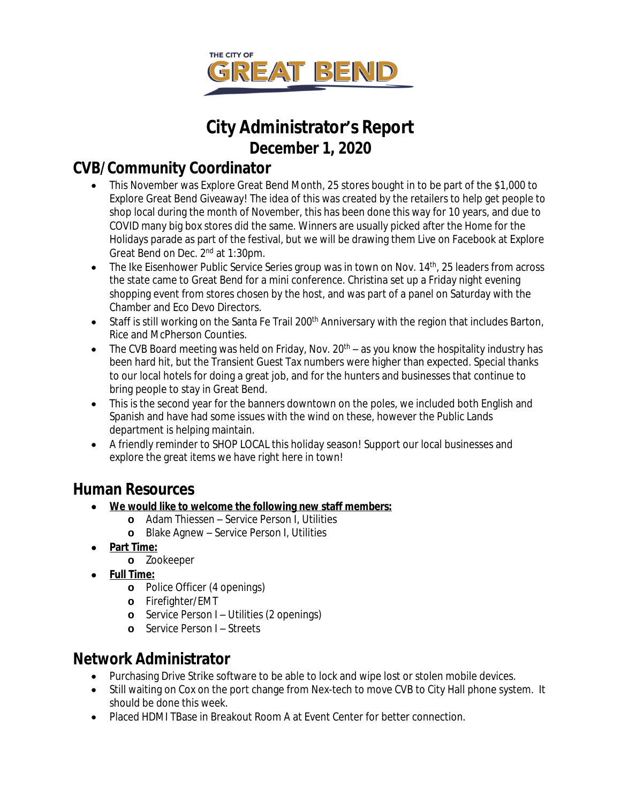

# **City Administrator's Report December 1, 2020**

### **CVB/Community Coordinator**

- This November was Explore Great Bend Month, 25 stores bought in to be part of the \$1,000 to Explore Great Bend Giveaway! The idea of this was created by the retailers to help get people to shop local during the month of November, this has been done this way for 10 years, and due to COVID many big box stores did the same. Winners are usually picked after the Home for the Holidays parade as part of the festival, but we will be drawing them Live on Facebook at Explore Great Bend on Dec. 2nd at 1:30pm.
- The Ike Eisenhower Public Service Series group was in town on Nov. 14<sup>th</sup>, 25 leaders from across the state came to Great Bend for a mini conference. Christina set up a Friday night evening shopping event from stores chosen by the host, and was part of a panel on Saturday with the Chamber and Eco Devo Directors.
- Staff is still working on the Santa Fe Trail 200<sup>th</sup> Anniversary with the region that includes Barton, Rice and McPherson Counties.
- $\bullet$  The CVB Board meeting was held on Friday, Nov. 20<sup>th</sup> as you know the hospitality industry has been hard hit, but the Transient Guest Tax numbers were higher than expected. Special thanks to our local hotels for doing a great job, and for the hunters and businesses that continue to bring people to stay in Great Bend.
- This is the second year for the banners downtown on the poles, we included both English and Spanish and have had some issues with the wind on these, however the Public Lands department is helping maintain.
- A friendly reminder to SHOP LOCAL this holiday season! Support our local businesses and explore the great items we have right here in town!

### **Human Resources**

- **We would like to welcome the following new staff members:**
	- **o** Adam Thiessen Service Person I, Utilities
	- **o** Blake Agnew Service Person I, Utilities
- **Part Time:**
	- **o** Zookeeper
- **Full Time:**
	- **o** Police Officer (4 openings)
	- **o** Firefighter/EMT
	- **o** Service Person I Utilities (2 openings)
	- **o** Service Person I Streets

## **Network Administrator**

- Purchasing Drive Strike software to be able to lock and wipe lost or stolen mobile devices.
- Still waiting on Cox on the port change from Nex-tech to move CVB to City Hall phone system. It should be done this week.
- Placed HDMI TBase in Breakout Room A at Event Center for better connection.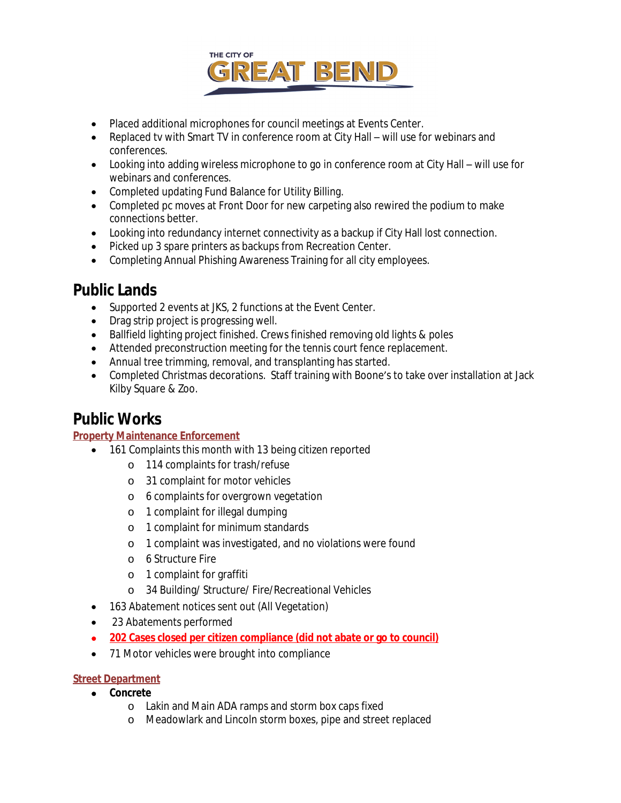

- Placed additional microphones for council meetings at Events Center.
- Replaced tv with Smart TV in conference room at City Hall will use for webinars and conferences.
- Looking into adding wireless microphone to go in conference room at City Hall will use for webinars and conferences.
- Completed updating Fund Balance for Utility Billing.
- Completed pc moves at Front Door for new carpeting also rewired the podium to make connections better.
- Looking into redundancy internet connectivity as a backup if City Hall lost connection.
- Picked up 3 spare printers as backups from Recreation Center.
- Completing Annual Phishing Awareness Training for all city employees.

### **Public Lands**

- Supported 2 events at JKS, 2 functions at the Event Center.
- Drag strip project is progressing well.
- Ballfield lighting project finished. Crews finished removing old lights & poles
- Attended preconstruction meeting for the tennis court fence replacement.
- Annual tree trimming, removal, and transplanting has started.
- Completed Christmas decorations. Staff training with Boone's to take over installation at Jack Kilby Square & Zoo.

### **Public Works**

#### **Property Maintenance Enforcement**

- 161 Complaints this month with 13 being citizen reported
	- o 114 complaints for trash/refuse
	- o 31 complaint for motor vehicles
	- o 6 complaints for overgrown vegetation
	- o 1 complaint for illegal dumping
	- o 1 complaint for minimum standards
	- o 1 complaint was investigated, and no violations were found
	- o 6 Structure Fire
	- o 1 complaint for graffiti
	- o 34 Building/ Structure/ Fire/Recreational Vehicles
- 163 Abatement notices sent out (All Vegetation)
- 23 Abatements performed
- **202 Cases closed per citizen compliance (did not abate or go to council)**
- 71 Motor vehicles were brought into compliance

#### **Street Department**

- **Concrete**
	- o Lakin and Main ADA ramps and storm box caps fixed
	- o Meadowlark and Lincoln storm boxes, pipe and street replaced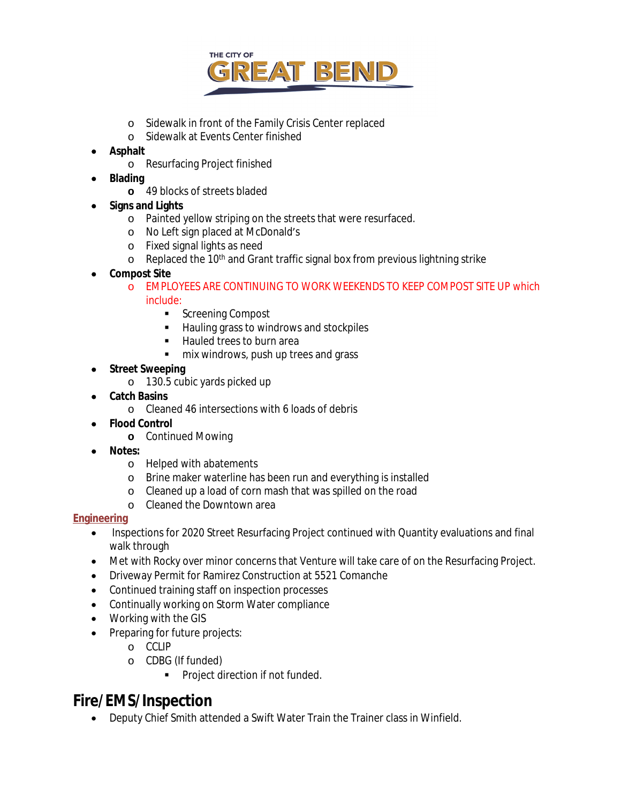

- o Sidewalk in front of the Family Crisis Center replaced
- o Sidewalk at Events Center finished
- **Asphalt**
	- o Resurfacing Project finished
- **Blading**
	- **o** 49 blocks of streets bladed
- **Signs and Lights**
	- o Painted yellow striping on the streets that were resurfaced.
	- o No Left sign placed at McDonald's
	- o Fixed signal lights as need
	- o Replaced the 10th and Grant traffic signal box from previous lightning strike
- **Compost Site**
	- o EMPLOYEES ARE CONTINUING TO WORK WEEKENDS TO KEEP COMPOST SITE UP which include:
		- Screening Compost
		- **Hauling grass to windrows and stockpiles**
		- Hauled trees to burn area
		- **mix windrows, push up trees and grass**
- **Street Sweeping**
	- o 130.5 cubic yards picked up
	- **Catch Basins**
		- o Cleaned 46 intersections with 6 loads of debris
- **Flood Control**
	- **o** Continued Mowing
- **Notes:**
	- o Helped with abatements
	- o Brine maker waterline has been run and everything is installed
	- o Cleaned up a load of corn mash that was spilled on the road
	- o Cleaned the Downtown area

#### **Engineering**

- Inspections for 2020 Street Resurfacing Project continued with Quantity evaluations and final walk through
- Met with Rocky over minor concerns that Venture will take care of on the Resurfacing Project.
- Driveway Permit for Ramirez Construction at 5521 Comanche
- Continued training staff on inspection processes
- Continually working on Storm Water compliance
- Working with the GIS
- Preparing for future projects:
	- o CCLIP
	- o CDBG (If funded)
		- **Project direction if not funded.**

### **Fire/EMS/Inspection**

Deputy Chief Smith attended a Swift Water Train the Trainer class in Winfield.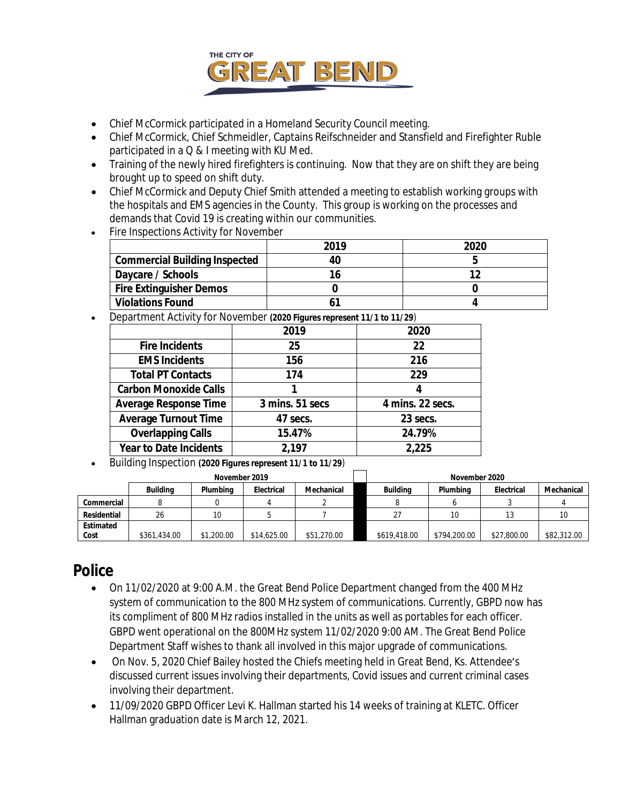

- Chief McCormick participated in a Homeland Security Council meeting.
- Chief McCormick, Chief Schmeidler, Captains Reifschneider and Stansfield and Firefighter Ruble participated in a Q & I meeting with KU Med.
- Training of the newly hired firefighters is continuing. Now that they are on shift they are being brought up to speed on shift duty.
- Chief McCormick and Deputy Chief Smith attended a meeting to establish working groups with the hospitals and EMS agencies in the County. This group is working on the processes and demands that Covid 19 is creating within our communities.
- Fire Inspections Activity for November

|                                      | 2019 | 2020 |
|--------------------------------------|------|------|
| <b>Commercial Building Inspected</b> | 40   |      |
| Daycare / Schools                    | 16   |      |
| <b>Fire Extinguisher Demos</b>       |      |      |
| <b>Violations Found</b>              |      |      |

Department Activity for November *(2020 Figures represent 11/1 to 11/29)*

|                               | 2019            | 2020             |
|-------------------------------|-----------------|------------------|
| <b>Fire Incidents</b>         | 25              | 22               |
| <b>EMS Incidents</b>          | 156             | 216              |
| <b>Total PT Contacts</b>      | 174             | 229              |
| <b>Carbon Monoxide Calls</b>  |                 | 4                |
| <b>Average Response Time</b>  | 3 mins. 51 secs | 4 mins. 22 secs. |
| <b>Average Turnout Time</b>   | 47 secs.        | 23 secs.         |
| <b>Overlapping Calls</b>      | 15.47%          | 24.79%           |
| <b>Year to Date Incidents</b> | 2,197           | 2,225            |

Building Inspection *(2020 Figures represent 11/1 to 11/29)*

|                   |                 | November 2019 |             |             | November 2020 |              |             |             |  |  |
|-------------------|-----------------|---------------|-------------|-------------|---------------|--------------|-------------|-------------|--|--|
|                   | <b>Building</b> | Plumbina      | Electrical  | Mechanical  | Buildina      | Plumbina     | Electrical  | Mechanical  |  |  |
| Commercial        |                 |               |             |             |               |              |             |             |  |  |
| Residential       | 26              |               |             |             |               | 10           |             |             |  |  |
| Estimated<br>Cost | \$361,434.00    | \$1,200.00    | \$14,625.00 | \$51,270.00 | \$619,418.00  | \$794,200.00 | \$27,800.00 | \$82,312.00 |  |  |

### **Police**

- On 11/02/2020 at 9:00 A.M. the Great Bend Police Department changed from the 400 MHz system of communication to the 800 MHz system of communications. Currently, GBPD now has its compliment of 800 MHz radios installed in the units as well as portables for each officer. GBPD went operational on the 800MHz system 11/02/2020 9:00 AM. The Great Bend Police Department Staff wishes to thank all involved in this major upgrade of communications.
- On Nov. 5, 2020 Chief Bailey hosted the Chiefs meeting held in Great Bend, Ks. Attendee's discussed current issues involving their departments, Covid issues and current criminal cases involving their department.
- 11/09/2020 GBPD Officer Levi K. Hallman started his 14 weeks of training at KLETC. Officer Hallman graduation date is March 12, 2021.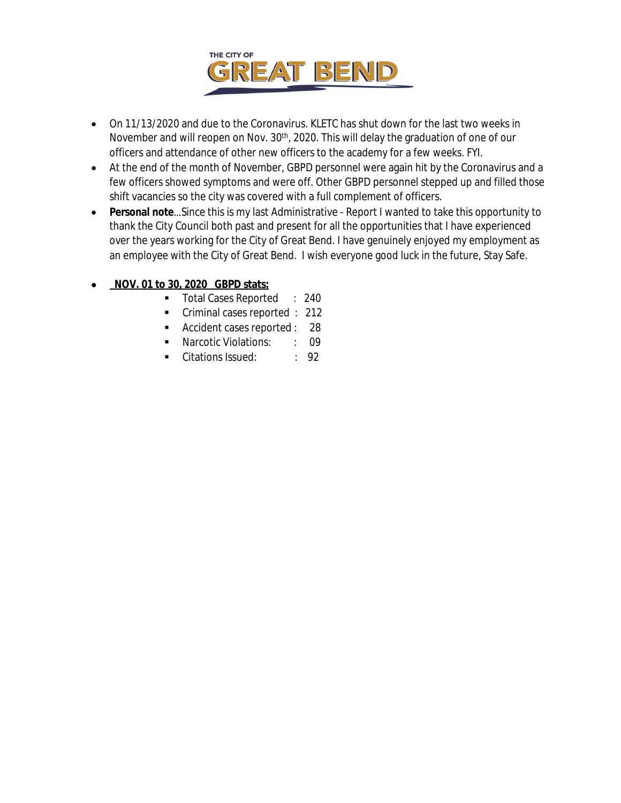

- On 11/13/2020 and due to the Coronavirus. KLETC has shut down for the last two weeks in November and will reopen on Nov. 30<sup>th</sup>, 2020. This will delay the graduation of one of our officers and attendance of other new officers to the academy for a few weeks. FYI.
- At the end of the month of November, GBPD personnel were again hit by the Coronavirus and a few officers showed symptoms and were off. Other GBPD personnel stepped up and filled those shift vacancies so the city was covered with a full complement of officers.
- **Personal note**…Since this is my last Administrative Report I wanted to take this opportunity to thank the City Council both past and present for all the opportunities that I have experienced over the years working for the City of Great Bend. I have genuinely enjoyed my employment as an employee with the City of Great Bend. I wish everyone good luck in the future, Stay Safe.

#### **NOV. 01 to 30, 2020 GBPD stats:**

- **Total Cases Reported : 240**
- Criminal cases reported : 212
- Accident cases reported : 28
- **Narcotic Violations:** : 09
- Citations Issued: : 92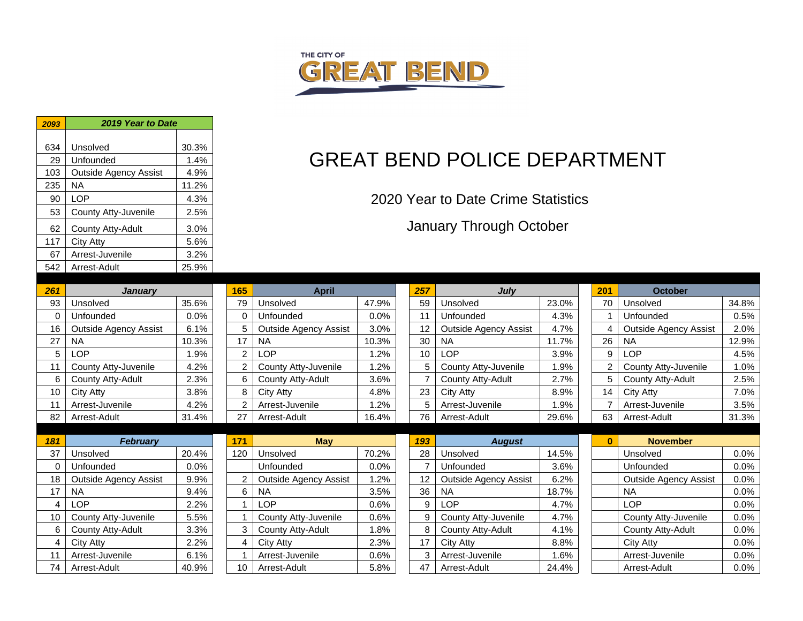

| 2093    | 2019 Year to Date                         |              |                |             |
|---------|-------------------------------------------|--------------|----------------|-------------|
| 634     | Unsolved                                  | 30.3%        |                |             |
| 29      | Unfounded                                 | 1.4%         |                |             |
| 103     | <b>Outside Agency Assist</b>              | 4.9%         |                |             |
| 235     | <b>NA</b>                                 | 11.2%        |                |             |
| 90      | LOP                                       | 4.3%         |                |             |
| 53      | County Atty-Juvenile                      | 2.5%         |                |             |
| 62      | County Atty-Adult                         | 3.0%         |                |             |
| 117     | <b>City Atty</b>                          | 5.6%         |                |             |
| 67      | Arrest-Juvenile                           | 3.2%         |                |             |
| 542     | Arrest-Adult                              | 25.9%        |                |             |
|         |                                           |              |                |             |
| 261     | <b>January</b>                            |              | 165            |             |
| 93      | Unsolved                                  | 35.6%        | 79             | Un          |
| 0<br>16 | Unfounded                                 | 0.0%         | 0<br>5         | Un          |
|         | <b>Outside Agency Assist</b><br><b>NA</b> | 6.1%         | 17             | Οı<br>$N_A$ |
| 27      | <b>LOP</b>                                | 10.3%        | $\overline{2}$ |             |
| 5<br>11 | County Atty-Juvenile                      | 1.9%<br>4.2% | $\overline{2}$ | LC<br>Co    |
| 6       | <b>County Atty-Adult</b>                  | 2.3%         | 6              | Co          |
| 10      | City Atty                                 | 3.8%         | 8              | Cit         |
| 11      | Arrest-Juvenile                           | 4.2%         | 2              | Arı         |
| 82      | Arrest-Adult                              | 31.4%        | 27             | Arı         |
|         |                                           |              |                |             |
| 181     | <b>February</b>                           |              | 171            |             |
| 37      | Unsolved                                  | 20.4%        | 120            | Un          |
| 0       | Unfounded                                 | 0.0%         |                | Un          |
| 18      | <b>Outside Agency Assist</b>              | 9.9%         | 2              | Οı          |
| 17      | <b>NA</b>                                 | 9.4%         | 6              | $N_A$       |
| 4       | <b>LOP</b>                                | 2.2%         | 1              | LC          |
| 10      | County Atty-Juvenile                      | 5.5%         | 1              | Co          |
| 6       | County Atty-Adult                         | 3.3%         | 3              | Co          |
| 4       | <b>City Atty</b>                          | 2.2%         | $\overline{4}$ | Cit         |
| 11      | Arrest-Juvenile                           | 6.1%         | $\mathbf{1}$   | Arı         |
| 74      | Arrest-Adult                              | 40.9%        | 10             | Arı         |

# GREAT BEND POLICE DEPARTMENT

2020 Year to Date Crime Statistics

January Through October

| 261      | <b>January</b>               |         | 165            | <b>April</b>                 |       | 257 | <b>July</b>                  |       | 201            | <b>October</b>               |       |
|----------|------------------------------|---------|----------------|------------------------------|-------|-----|------------------------------|-------|----------------|------------------------------|-------|
| 93       | Unsolved                     | 35.6%   | 79             | Unsolved                     | 47.9% | 59  | Unsolved                     | 23.0% | 70             | Unsolved                     | 34.8% |
| 0        | Unfounded                    | $0.0\%$ | $\Omega$       | Unfounded                    | 0.0%  | 11  | Unfounded                    | 4.3%  |                | Unfounded                    | 0.5%  |
| 16       | <b>Outside Agency Assist</b> | 6.1%    | 5              | <b>Outside Agency Assist</b> | 3.0%  | 12  | <b>Outside Agency Assist</b> | 4.7%  | 4              | <b>Outside Agency Assist</b> | 2.0%  |
| 27       | <b>NA</b>                    | 10.3%   | 17             | <b>NA</b>                    | 10.3% | 30  | NA                           | 11.7% | 26             | <b>NA</b>                    | 12.9% |
| 5        | LOP                          | 1.9%    | 2              | LOP                          | 1.2%  | 10  | <b>LOP</b>                   | 3.9%  | 9              | LOP                          | 4.5%  |
| 11       | County Atty-Juvenile         | 4.2%    | $\overline{2}$ | County Atty-Juvenile         | 1.2%  | 5   | County Atty-Juvenile         | 1.9%  | $\overline{2}$ | County Atty-Juvenile         | 1.0%  |
| 6        | County Atty-Adult            | 2.3%    | 6              | County Atty-Adult            | 3.6%  |     | County Atty-Adult            | 2.7%  | 5              | County Atty-Adult            | 2.5%  |
| 10       | City Atty                    | 3.8%    | 8              | City Atty                    | 4.8%  | 23  | City Atty                    | 8.9%  | 14             | City Atty                    | 7.0%  |
| 11       | Arrest-Juvenile              | 4.2%    |                | Arrest-Juvenile              | 1.2%  | 5   | Arrest-Juvenile              | 1.9%  |                | Arrest-Juvenile              | 3.5%  |
| 82       | Arrest-Adult                 | 31.4%   | 27             | Arrest-Adult                 | 16.4% | 76  | Arrest-Adult                 | 29.6% | 63             | Arrest-Adult                 | 31.3% |
|          |                              |         |                |                              |       |     |                              |       |                |                              |       |
|          |                              |         |                |                              |       |     |                              |       |                |                              |       |
| 181      | <b>February</b>              |         | 171            | <b>May</b>                   |       | 193 | <b>August</b>                |       | $\bf{0}$       | <b>November</b>              |       |
| 37       | Unsolved                     | 20.4%   | 120            | Unsolved                     | 70.2% | 28  | Unsolved                     | 14.5% |                | Unsolved                     | 0.0%  |
| $\Omega$ | Unfounded                    | 0.0%    |                | Unfounded                    | 0.0%  |     | Unfounded                    | 3.6%  |                | Unfounded                    | 0.0%  |
| 18       | <b>Outside Agency Assist</b> | 9.9%    | $\overline{2}$ | <b>Outside Agency Assist</b> | 1.2%  | 12  | <b>Outside Agency Assist</b> | 6.2%  |                | <b>Outside Agency Assist</b> | 0.0%  |
| 17       | <b>NA</b>                    | 9.4%    | 6              | <b>NA</b>                    | 3.5%  | 36  | <b>NA</b>                    | 18.7% |                | <b>NA</b>                    | 0.0%  |
| 4        | <b>LOP</b>                   | 2.2%    |                | <b>LOP</b>                   | 0.6%  | 9   | LOP                          | 4.7%  |                | LOP                          | 0.0%  |
| 10       | County Atty-Juvenile         | 5.5%    |                | County Atty-Juvenile         | 0.6%  | 9   | County Atty-Juvenile         | 4.7%  |                | County Atty-Juvenile         | 0.0%  |
| 6        | County Atty-Adult            | 3.3%    | 3              | County Atty-Adult            | 1.8%  | 8   | County Atty-Adult            | 4.1%  |                | County Atty-Adult            | 0.0%  |
| 4        | City Atty                    | 2.2%    | 4              | City Atty                    | 2.3%  | 17  | City Atty                    | 8.8%  |                | City Atty                    | 0.0%  |
| 11       | Arrest-Juvenile              | 6.1%    |                | Arrest-Juvenile              | 0.6%  | 3   | Arrest-Juvenile              | 1.6%  |                | Arrest-Juvenile              | 0.0%  |